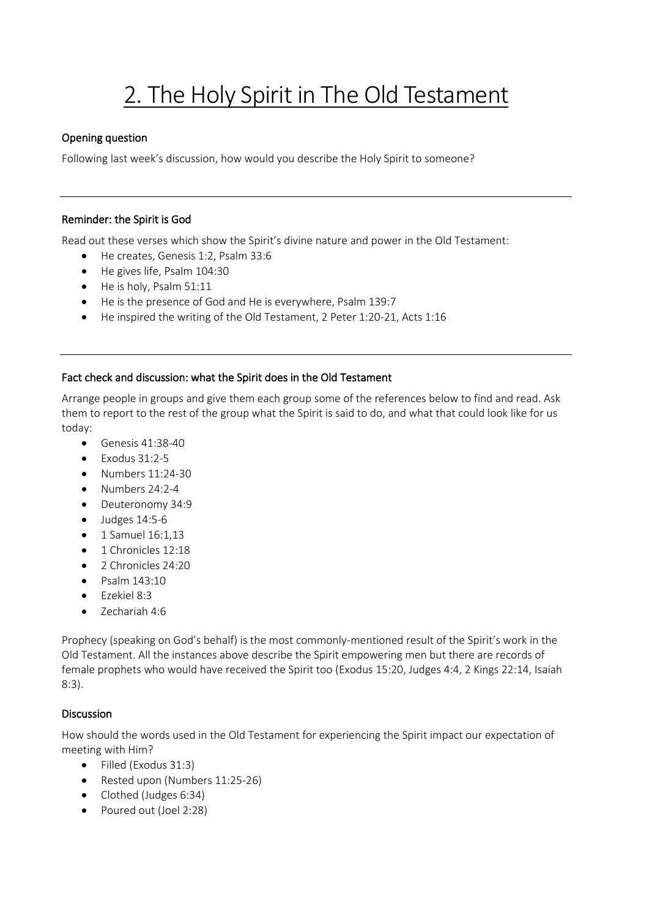# 2. The Holy Spirit in The Old Testament

## Opening question

Following last week's discussion, how would you describe the Holy Spirit to someone?

#### Reminder: the Spirit is God

Read out these verses which show the Spirit's divine nature and power in the Old Testament:

- He creates, Genesis 1:2, Psalm 33:6
- He gives life, Psalm 104:30
- He is holy, Psalm 51:11
- He is the presence of God and He is everywhere, Psalm 139:7
- He inspired the writing of the Old Testament, 2 Peter 1:20-21, Acts 1:16

# Fact check and discussion: what the Spirit does in the Old Testament

Arrange people in groups and give them each group some of the references below to find and read. Ask them to report to the rest of the group what the Spirit is said to do, and what that could look like for us today:

- Genesis 41:38-40
- $\bullet$  Exodus 31:2-5
- Numbers 11:24-30
- Numbers 24:2-4
- Deuteronomy 34:9
- $\bullet$  Judges 14:5-6
- $\bullet$  1 Samuel 16:1,13
- 1 Chronicles 12:18
- 2 Chronicles 24:20
- Psalm 143:10
- Ezekiel 8:3
- Zechariah 4:6

Prophecy (speaking on God's behalf) is the most commonly-mentioned result of the Spirit's work in the Old Testament. All the instances above describe the Spirit empowering men but there are records of female prophets who would have received the Spirit too (Exodus 15:20, Judges 4:4, 2 Kings 22:14, Isaiah 8:3).

## Discussion

How should the words used in the Old Testament for experiencing the Spirit impact our expectation of meeting with Him?

- Filled (Exodus 31:3)
- Rested upon (Numbers 11:25-26)
- Clothed (Judges 6:34)
- Poured out (Joel 2:28)